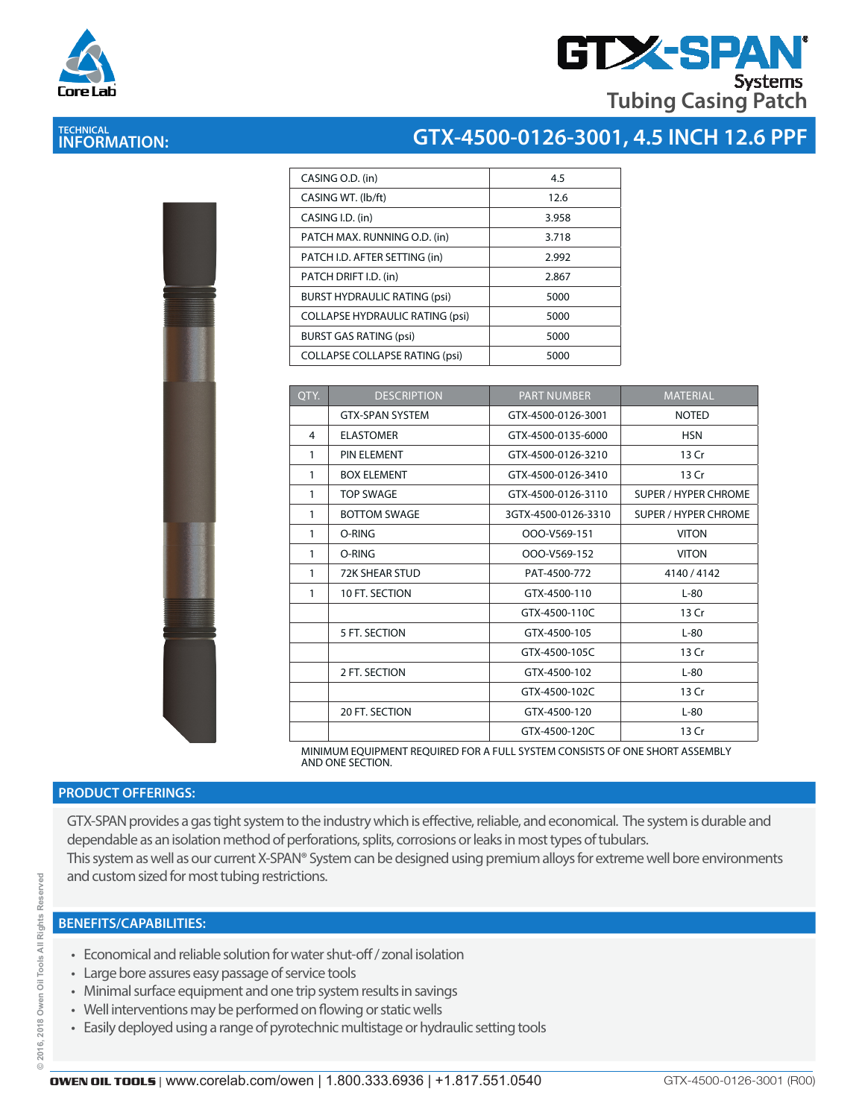



## **TECHNICAL INFORMATION:**

|      | CASING O.D. (in)                       | 4.5             |
|------|----------------------------------------|-----------------|
|      | CASING WT. (lb/ft)                     | 12.6            |
|      | CASING I.D. (in)                       | 3.958           |
|      | PATCH MAX. RUNNING O.D. (in)           | 3.718           |
|      | PATCH I.D. AFTER SETTING (in)          | 2.992           |
|      | PATCH DRIFT I.D. (in)                  | 2.867           |
|      | <b>BURST HYDRAULIC RATING (psi)</b>    | 5000            |
|      | <b>COLLAPSE HYDRAULIC RATING (psi)</b> | 5000            |
|      | <b>BURST GAS RATING (psi)</b>          | 5000            |
|      | <b>COLLAPSE COLLAPSE RATING (psi)</b>  | 5000            |
|      |                                        |                 |
| OTY. | <b>DESCRIPTION</b>                     | <b>PART NUM</b> |
|      | <b>GTX-SPAN SYSTEM</b>                 | GTX-4500-01     |
| 4    | <b>ELASTOMER</b>                       | GTX-4500-01     |

| <b>Contract of Contract of Contract of Contract of Contract of Contract of Contract of Contract of Contract of Contract of Contract of Contract of Contract of Contract of Contract of Contract of Contract of Contract of Contr</b><br>ļ<br>Ñ |  |
|------------------------------------------------------------------------------------------------------------------------------------------------------------------------------------------------------------------------------------------------|--|
|                                                                                                                                                                                                                                                |  |
|                                                                                                                                                                                                                                                |  |
|                                                                                                                                                                                                                                                |  |
|                                                                                                                                                                                                                                                |  |
|                                                                                                                                                                                                                                                |  |
| ł                                                                                                                                                                                                                                              |  |
|                                                                                                                                                                                                                                                |  |

| QTY.         | <b>DESCRIPTION</b>                                                          | <b>PART NUMBER</b>  | <b>MATERIAL</b>             |
|--------------|-----------------------------------------------------------------------------|---------------------|-----------------------------|
|              | <b>GTX-SPAN SYSTEM</b>                                                      | GTX-4500-0126-3001  | <b>NOTED</b>                |
| 4            | <b>ELASTOMER</b>                                                            | GTX-4500-0135-6000  | <b>HSN</b>                  |
| 1            | PIN ELEMENT                                                                 | GTX-4500-0126-3210  | 13 Cr                       |
| 1            | <b>BOX ELEMENT</b>                                                          | GTX-4500-0126-3410  | 13 Cr                       |
| $\mathbf{1}$ | <b>TOP SWAGE</b>                                                            | GTX-4500-0126-3110  | <b>SUPER / HYPER CHROME</b> |
| $\mathbf{1}$ | <b>BOTTOM SWAGE</b>                                                         | 3GTX-4500-0126-3310 | <b>SUPER / HYPER CHROME</b> |
| 1            | O-RING                                                                      | OOO-V569-151        | <b>VITON</b>                |
| $\mathbf{1}$ | O-RING                                                                      | OOO-V569-152        | <b>VITON</b>                |
| $\mathbf{1}$ | <b>72K SHEAR STUD</b>                                                       | PAT-4500-772        | 4140 / 4142                 |
| $\mathbf{1}$ | 10 FT. SECTION                                                              | GTX-4500-110        | $L-80$                      |
|              |                                                                             | GTX-4500-110C       | 13 Cr                       |
|              | 5 FT. SECTION                                                               | GTX-4500-105        | $L-80$                      |
|              |                                                                             | GTX-4500-105C       | 13 Cr                       |
|              | 2 FT. SECTION                                                               | GTX-4500-102        | $L-80$                      |
|              |                                                                             | GTX-4500-102C       | 13 Cr                       |
|              | 20 FT. SECTION                                                              | GTX-4500-120        | $L-80$                      |
|              |                                                                             | GTX-4500-120C       | 13 Cr                       |
|              | MINIMUM EQUIPMENT REQUIRED FOR A FULL SYSTEM CONSISTS OF ONE SHORT ASSEMBLY |                     |                             |

MINIMUM EQUIPMENT REQUIRED FOR A FULL SYSTEM CONSISTS OF ONE SHORT ASSEMBLY AND ONE SECTION.

#### **PRODUCT OFFERINGS:**

GTX-SPAN provides a gas tight system to the industry which is effective, reliable, and economical. The system is durable and dependable as an isolation method of perforations, splits, corrosions or leaks in most types of tubulars. This system as well as our current X-SPAN® System can be designed using premium alloys for extreme well bore environments

and custom sized for most tubing restrictions.

- Economical and reliable solution for water shut-off / zonal isolation
- Large bore assures easy passage of service tools
- Minimal surface equipment and one trip system results in savings
- Well interventions may be performed on flowing or static wells
- Easily deployed using a range of pyrotechnic multistage or hydraulic setting tools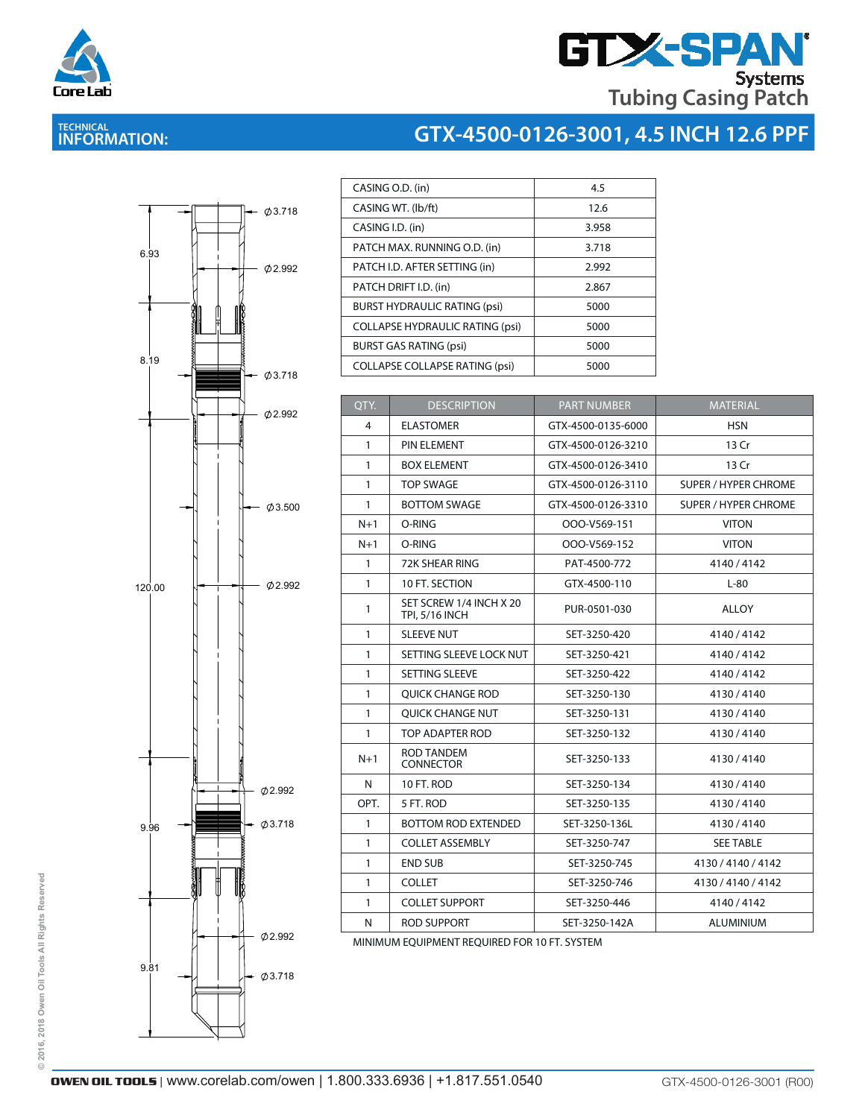

# **GTX-SPAN Tubing Casing Patch**

# **TECHNICAL INFORMATION:**

# **GTX-4500-0126-3001, 4.5 INCH 12.6 PPF**



| CASING O.D. (in)                       | 4.5   |
|----------------------------------------|-------|
| CASING WT. (lb/ft)                     | 12.6  |
| CASING I.D. (in)                       | 3.958 |
| PATCH MAX. RUNNING O.D. (in)           | 3.718 |
| PATCH I.D. AFTER SETTING (in)          | 2.992 |
| PATCH DRIFT I.D. (in)                  | 2.867 |
| <b>BURST HYDRAULIC RATING (psi)</b>    | 5000  |
| <b>COLLAPSE HYDRAULIC RATING (psi)</b> | 5000  |
| <b>BURST GAS RATING (psi)</b>          | 5000  |
| <b>COLLAPSE COLLAPSE RATING (psi)</b>  | 5000  |
|                                        |       |

| QTY.         | <b>DESCRIPTION</b>                               | <b>PART NUMBER</b> | <b>MATERIAL</b>             |
|--------------|--------------------------------------------------|--------------------|-----------------------------|
| 4            | <b>ELASTOMER</b>                                 | GTX-4500-0135-6000 | <b>HSN</b>                  |
| 1            | PIN ELEMENT                                      | GTX-4500-0126-3210 | 13 Cr                       |
| $\mathbf{1}$ | <b>BOX ELEMENT</b>                               | GTX-4500-0126-3410 | 13 Cr                       |
| $\mathbf{1}$ | <b>TOP SWAGE</b>                                 | GTX-4500-0126-3110 | <b>SUPER / HYPER CHROME</b> |
| $\mathbf{1}$ | <b>BOTTOM SWAGE</b>                              | GTX-4500-0126-3310 | SUPER / HYPER CHROME        |
| $N+1$        | O-RING                                           | OOO-V569-151       | <b>VITON</b>                |
| $N+1$        | O-RING                                           | OOO-V569-152       | <b>VITON</b>                |
| $\mathbf{1}$ | 72K SHEAR RING                                   | PAT-4500-772       | 4140/4142                   |
| $\mathbf{1}$ | 10 FT. SECTION                                   | GTX-4500-110       | $L-80$                      |
| 1            | SET SCREW 1/4 INCH X 20<br><b>TPI, 5/16 INCH</b> | PUR-0501-030       | <b>ALLOY</b>                |
| 1            | <b>SLEEVE NUT</b>                                | SET-3250-420       | 4140/4142                   |
| $\mathbf{1}$ | SETTING SLEEVE LOCK NUT                          | SET-3250-421       | 4140 / 4142                 |
| $\mathbf{1}$ | SETTING SLEEVE                                   | SET-3250-422       | 4140/4142                   |
| 1            | <b>OUICK CHANGE ROD</b>                          | SET-3250-130       | 4130/4140                   |
| $\mathbf{1}$ | <b>OUICK CHANGE NUT</b>                          | SET-3250-131       | 4130/4140                   |
| $\mathbf{1}$ | TOP ADAPTER ROD                                  | SET-3250-132       | 4130/4140                   |
| $N+1$        | <b>ROD TANDEM</b><br><b>CONNECTOR</b>            | SET-3250-133       | 4130/4140                   |
| N            | 10 FT. ROD                                       | SET-3250-134       | 4130/4140                   |
| OPT.         | 5 FT. ROD                                        | SET-3250-135       | 4130/4140                   |
| 1            | <b>BOTTOM ROD EXTENDED</b>                       | SET-3250-136L      | 4130/4140                   |
| $\mathbf{1}$ | <b>COLLET ASSEMBLY</b>                           | SET-3250-747       | <b>SEE TABLE</b>            |
| 1            | <b>END SUB</b>                                   | SET-3250-745       | 4130 / 4140 / 4142          |
| 1            | <b>COLLET</b>                                    | SET-3250-746       | 4130 / 4140 / 4142          |
| 1            | <b>COLLET SUPPORT</b>                            | SET-3250-446       | 4140 / 4142                 |
| N            | <b>ROD SUPPORT</b>                               | SET-3250-142A      | <b>ALUMINIUM</b>            |

MINIMUM EQUIPMENT REQUIRED FOR 10 FT. SYSTEM